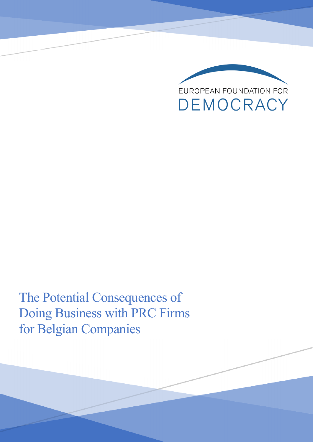

The Potential Consequences of Doing Business with PRC Firms for Belgian Companies

A Briefing by Pieter Cleppe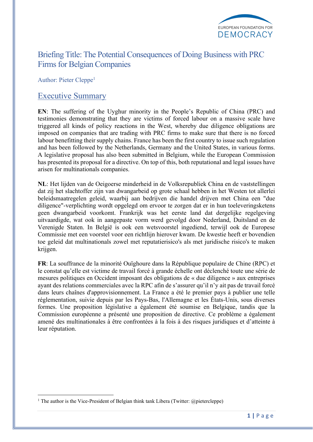

## Briefing Title: The Potential Consequences of Doing Business with PRC Firms for Belgian Companies

Author: Pieter Cleppe<sup>1</sup>

### Executive Summary

**EN**: The suffering of the Uyghur minority in the People's Republic of China (PRC) and testimonies demonstrating that they are victims of forced labour on a massive scale have triggered all kinds of policy reactions in the West, whereby due diligence obligations are imposed on companies that are trading with PRC firms to make sure that there is no forced labour benefitting their supply chains. France has been the first country to issue such regulation and has been followed by the Netherlands, Germany and the United States, in various forms. A legislative proposal has also been submitted in Belgium, while the European Commission has presented its proposal for a directive. On top of this, both reputational and legal issues have arisen for multinationals companies.

**NL**: Het lijden van de Oeigoerse minderheid in de Volksrepubliek China en de vaststellingen dat zij het slachtoffer zijn van dwangarbeid op grote schaal hebben in het Westen tot allerlei beleidsmaatregelen geleid, waarbij aan bedrijven die handel drijven met China een "due diligence"-verplichting wordt opgelegd om ervoor te zorgen dat er in hun toeleveringsketens geen dwangarbeid voorkomt. Frankrijk was het eerste land dat dergelijke regelgeving uitvaardigde, wat ook in aangepaste vorm werd gevolgd door Nederland, Duitsland en de Verenigde Staten. In België is ook een wetsvoorstel ingediend, terwijl ook de Europese Commissie met een voorstel voor een richtlijn hierover kwam. De kwestie heeft er bovendien toe geleid dat multinationals zowel met reputatierisico's als met juridische risico's te maken krijgen.

**FR**: La souffrance de la minorité Ouïghoure dans la République populaire de Chine (RPC) et le constat qu'elle est victime de travail forcé à grande échelle ont déclenché toute une série de mesures politiques en Occident imposant des obligations de « due diligence » aux entreprises ayant des relations commerciales avec la RPC afin de s'assurer qu'il n'y ait pas de travail forcé dans leurs chaînes d'approvisionnement. La France a été le premier pays à publier une telle réglementation, suivie depuis par les Pays-Bas, l'Allemagne et les États-Unis, sous diverses formes. Une proposition législative a également été soumise en Belgique, tandis que la Commission européenne a présenté une proposition de directive. Ce problème a également amené des multinationales à être confrontées à la fois à des risques juridiques et d'atteinte à leur réputation.

<sup>&</sup>lt;sup>1</sup> The author is the Vice-President of Belgian think tank Libera (Twitter:  $@$ pietercleppe)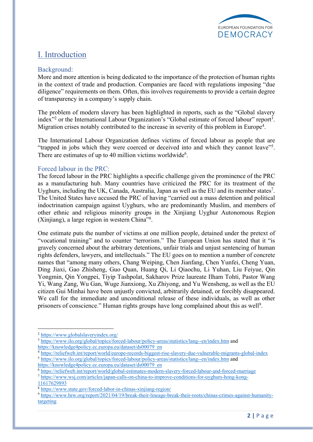

# I. Introduction

### Background:

More and more attention is being dedicated to the importance of the protection of human rights in the context of trade and production. Companies are faced with regulations imposing "due diligence" requirements on them. Often, this involves requirements to provide a certain degree of transparency in a company's supply chain.

The problem of modern slavery has been highlighted in reports, such as the "Global slavery index"<sup>2</sup> or the International Labour Organization's "Global estimate of forced labour" report<sup>3</sup>. Migration crises notably contributed to the increase in severity of this problem in Europe<sup>4</sup>.

The International Labour Organization defines victims of forced labour as people that are "trapped in jobs which they were coerced or deceived into and which they cannot leave"<sup>5</sup>. There are estimates of up to 40 million victims worldwide<sup>6</sup>.

### Forced labour in the PRC:

The forced labour in the PRC highlights a specific challenge given the prominence of the PRC as a manufacturing hub. Many countries have criticized the PRC for its treatment of the Uyghurs, including the UK, Canada, Australia, Japan as well as the EU and its member states<sup>7</sup>. The United States have accused the PRC of having "carried out a mass detention and political indoctrination campaign against Uyghurs, who are predominantly Muslim, and members of other ethnic and religious minority groups in the Xinjiang Uyghur Autonomous Region (Xinjiang), a large region in western China"8 .

One estimate puts the number of victims at one million people, detained under the pretext of "vocational training" and to counter "terrorism." The European Union has stated that it "is gravely concerned about the arbitrary detentions, unfair trials and unjust sentencing of human rights defenders, lawyers, and intellectuals." The EU goes on to mention a number of concrete names that "among many others, Chang Weiping, Chen Jianfang, Chen Yunfei, Cheng Yuan, Ding Jiaxi, Gao Zhisheng, Guo Quan, Huang Qi, Li Qiaochu, Li Yuhan, Liu Feiyue, Qin Yongmin, Qin Yongpei, Tiyip Tashpolat, Sakharov Prize laureate Ilham Tohti, Pastor Wang Yi, Wang Zang, Wu Gan, Wuge Jianxiong, Xu Zhiyong, and Yu Wensheng, as well as the EU citizen Gui Minhai have been unjustly convicted, arbitrarily detained, or forcibly disappeared. We call for the immediate and unconditional release of these individuals, as well as other prisoners of conscience." Human rights groups have long complained about this as well<sup>9</sup>.

<sup>2</sup> https://www.globalslaveryindex.org/

<sup>3</sup> https://www.ilo.org/global/topics/forced-labour/policy-areas/statistics/lang--en/index.htm and https://knowledge4policy.ec.europa.eu/dataset/ds00079\_en

<sup>4</sup> https://reliefweb.int/report/world/europe-records-biggest-rise-slavery-due-vulnerable-migrants-global-index <sup>5</sup> https://www.ilo.org/global/topics/forced-labour/policy-areas/statistics/lang--en/index.htm and

https://knowledge4policy.ec.europa.eu/dataset/ds00079\_en

<sup>6</sup> https://reliefweb.int/report/world/global-estimates-modern-slavery-forced-labour-and-forced-marriage

<sup>7</sup> https://www.wsj.com/articles/japan-calls-on-china-to-improve-conditions-for-uyghurs-hong-kong-11617629893

<sup>8</sup> https://www.state.gov/forced-labor-in-chinas-xinjiang-region/

<sup>9</sup> https://www.hrw.org/report/2021/04/19/break-their-lineage-break-their-roots/chinas-crimes-against-humanitytargeting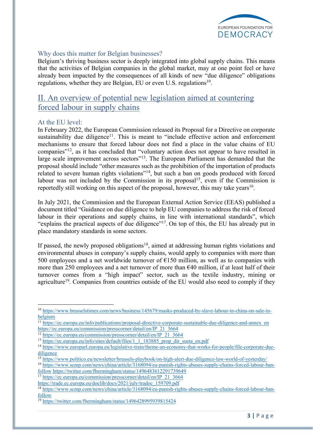

#### Why does this matter for Belgian businesses?

Belgium's thriving business sector is deeply integrated into global supply chains. This means that the activities of Belgian companies in the global market, may at one point feel or have already been impacted by the consequences of all kinds of new "due diligence" obligations regulations, whether they are Belgian, EU or even U.S. regulations<sup>10</sup>.

## II. An overview of potential new legislation aimed at countering forced labour in supply chains

#### At the EU level:

In February 2022, the European Commission released its Proposal for a Directive on corporate sustainability due diligence<sup>11</sup>. This is meant to "include effective action and enforcement mechanisms to ensure that forced labour does not find a place in the value chains of EU companies"12, as it has concluded that "voluntary action does not appear to have resulted in large scale improvement across sectors"<sup>13</sup>. The European Parliament has demanded that the proposal should include "other measures such as the prohibition of the importation of products related to severe human rights violations"14, but such a ban on goods produced with forced labour was not included by the Commission in its proposal<sup>15</sup>, even if the Commission is reportedly still working on this aspect of the proposal, however, this may take years<sup>16</sup>.

In July 2021, the Commission and the European External Action Service (EEAS) published a document titled "Guidance on due diligence to help EU companies to address the risk of forced labour in their operations and supply chains, in line with international standards", which "explains the practical aspects of due diligence"17. On top of this, the EU has already put in place mandatory standards in some sectors.

If passed, the newly proposed obligations<sup>18</sup>, aimed at addressing human rights violations and environmental abuses in company's supply chains, would apply to companies with more than 500 employees and a net worldwide turnover of  $E$ 150 million, as well as to companies with more than 250 employees and a net turnover of more than  $640$  million, if at least half of their turnover comes from a "high impact" sector, such as the textile industry, mining or agriculture<sup>19</sup>. Companies from countries outside of the EU would also need to comply if they

<sup>17</sup> https://ec.europa.eu/commission/presscorner/detail/en/IP\_21\_3664

<sup>10</sup> https://www.brusselstimes.com/news/business/145679/masks-produced-by-slave-labour-in-china-on-sale-inbelgium

<sup>&</sup>lt;sup>11</sup> https://ec.europa.eu/info/publications/proposal-directive-corporate-sustainable-due-diligence-and-annex\_en https://ec.europa.eu/commission/presscorner/detail/en/IP\_21\_3664

<sup>12</sup> https://ec.europa.eu/commission/presscorner/detail/en/IP\_21\_3664

<sup>&</sup>lt;sup>13</sup> https://ec.europa.eu/info/sites/default/files/1\_1\_183885\_prop\_dir\_susta\_en.pdf

<sup>14</sup> https://www.europarl.europa.eu/legislative-train/theme-an-economy-that-works-for-people/file-corporate-duediligence

<sup>15</sup> https://www.politico.eu/newsletter/brussels-playbook/on-high-alert-due-diligence-law-world-of-yesterday/

<sup>16</sup> https://www.scmp.com/news/china/article/3168094/eu-punish-rights-abuses-supply-chains-forced-labour-banfollow https://twitter.com/fbermingham/status/1496483612291739649

https://trade.ec.europa.eu/doclib/docs/2021/july/tradoc\_159709.pdf

<sup>18</sup> https://www.scmp.com/news/china/article/3168094/eu-punish-rights-abuses-supply-chains-forced-labour-banfollow

<sup>19</sup> https://twitter.com/fbermingham/status/1496428995939815424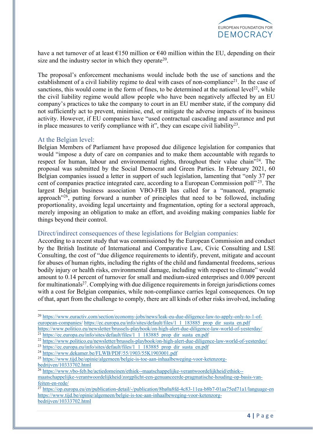

have a net turnover of at least  $\epsilon$ 150 million or  $\epsilon$ 40 million within the EU, depending on their size and the industry sector in which they operate<sup>20</sup>.

The proposal's enforcement mechanisms would include both the use of sanctions and the establishment of a civil liability regime to deal with cases of non-compliance<sup>21</sup>. In the case of sanctions, this would come in the form of fines, to be determined at the national level<sup>22</sup>, while the civil liability regime would allow people who have been negatively affected by an EU company's practices to take the company to court in an EU member state, if the company did not sufficiently act to prevent, minimise, end, or mitigate the adverse impacts of its business activity. However, if EU companies have "used contractual cascading and assurance and put in place measures to verify compliance with it", they can escape civil liability<sup>23</sup>.

#### At the Belgian level:

Belgian Members of Parliament have proposed due diligence legislation for companies that would "impose a duty of care on companies and to make them accountable with regards to respect for human, labour and environmental rights, throughout their value chain<sup>"24</sup>. The proposal was submitted by the Social Democrat and Green Parties. In February 2021, 60 Belgian companies issued a letter in support of such legislation, lamenting that "only 37 per cent of companies practice integrated care, according to a European Commission poll"<sup>25</sup>. The largest Belgian business association VBO-FEB has called for a "nuanced, pragmatic approach<sup>"26</sup>, putting forward a number of principles that need to be followed, including proportionality, avoiding legal uncertainty and fragmentation, opting for a sectoral approach, merely imposing an obligation to make an effort, and avoiding making companies liable for things beyond their control.

### Direct/indirect consequences of these legislations for Belgian companies:

According to a recent study that was commissioned by the European Commission and conduct by the British Institute of International and Comparative Law, Civic Consulting and LSE Consulting, the cost of "due diligence requirements to identify, prevent, mitigate and account for abuses of human rights, including the rights of the child and fundamental freedoms, serious bodily injury or health risks, environmental damage, including with respect to climate" would amount to 0.14 percent of turnover for small and medium-sized enterprises and 0.009 percent for multinationals<sup>27</sup>. Complying with due diligence requirements in foreign jurisdictions comes with a cost for Belgian companies, while non-compliance carries legal consequences. On top of that, apart from the challenge to comply, there are all kinds of other risks involved, including

<sup>20</sup> https://www.euractiv.com/section/economy-jobs/news/leak-eu-due-diligence-law-to-apply-only-to-1-ofeuropean-companies/ https://ec.europa.eu/info/sites/default/files/1\_1\_183885\_prop\_dir\_susta\_en.pdf https://www.politico.eu/newsletter/brussels-playbook/on-high-alert-due-diligence-law-world-of-yesterday/

<sup>&</sup>lt;sup>21</sup> https://ec.europa.eu/info/sites/default/files/1\_1\_183885\_prop\_dir\_susta\_en.pdf

<sup>&</sup>lt;sup>22</sup> https://www.politico.eu/newsletter/brussels-playbook/on-high-alert-due-diligence-law-world-of-yesterday/

<sup>&</sup>lt;sup>23</sup> https://ec.europa.eu/info/sites/default/files/1\_1\_183885\_prop\_dir\_susta\_en.pdf

<sup>24</sup> https://www.dekamer.be/FLWB/PDF/55/1903/55K1903001.pdf

<sup>25</sup> https://www.tijd.be/opinie/algemeen/belgie-is-toe-aan-inhaalbeweging-voor-ketenzorgbedrijven/10333702.html

<sup>&</sup>lt;sup>26</sup> https://www.vbo-feb.be/actiedomeinen/ethiek--maatschappelijke-verantwoordelijkheid/ethiek-maatschappelijke-verantwoordelijkheid/zorgplicht-een-genuanceerde-pragmatische-houding-op-basis-vanfeiten-en-rede/

 $^{27}$  https://op.europa.eu/en/publication-detail/-/publication/8ba0a8fd-4c83-11ea-b8b7-01aa75ed71a1/language-en https://www.tijd.be/opinie/algemeen/belgie-is-toe-aan-inhaalbeweging-voor-ketenzorgbedrijven/10333702.html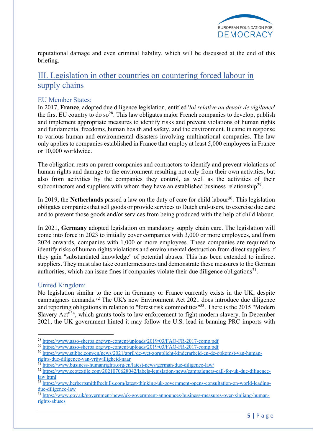

reputational damage and even criminal liability, which will be discussed at the end of this briefing.

## III. Legislation in other countries on countering forced labour in supply chains

### EU Member States:

In 2017, **France**, adopted due diligence legislation, entitled '*loi relative au devoir de vigilance*' the first EU country to do so<sup>28</sup>. This law obligates major French companies to develop, publish and implement appropriate measures to identify risks and prevent violations of human rights and fundamental freedoms, human health and safety, and the environment. It came in response to various human and environmental disasters involving multinational companies. The law only applies to companies established in France that employ at least 5,000 employees in France or 10,000 worldwide.

The obligation rests on parent companies and contractors to identify and prevent violations of human rights and damage to the environment resulting not only from their own activities, but also from activities by the companies they control, as well as the activities of their subcontractors and suppliers with whom they have an established business relationship<sup>29</sup>.

In 2019, the **Netherlands** passed a law on the duty of care for child labour<sup>30</sup>. This legislation obligates companies that sell goods or provide services to Dutch end-users, to exercise due care and to prevent those goods and/or services from being produced with the help of child labour.

In 2021, **Germany** adopted legislation on mandatory supply chain care. The legislation will come into force in 2023 to initially cover companies with 3,000 or more employees, and from 2024 onwards, companies with 1,000 or more employees. These companies are required to identify risks of human rights violations and environmental destruction from direct suppliers if they gain "substantiated knowledge" of potential abuses. This has been extended to indirect suppliers. They must also take countermeasures and demonstrate these measures to the German authorities, which can issue fines if companies violate their due diligence obligations $31$ .

### United Kingdom:

No legislation similar to the one in Germany or France currently exists in the UK, despite campaigners demands. <sup>32</sup> The UK's new Environment Act 2021 does introduce due diligence and reporting obligations in relation to "forest risk commodities"33. There is the 2015 "Modern Slavery Act<sup>134</sup>, which grants tools to law enforcement to fight modern slavery. In December 2021, the UK government hinted it may follow the U.S. lead in banning PRC imports with

<sup>28</sup> https://www.asso-sherpa.org/wp-content/uploads/2019/03/FAQ-FR-2017-comp.pdf

<sup>29</sup> https://www.asso-sherpa.org/wp-content/uploads/2019/03/FAQ-FR-2017-comp.pdf

<sup>30</sup> https://www.stibbe.com/en/news/2021/april/de-wet-zorgplicht-kinderarbeid-en-de-opkomst-van-humanrights-due-diligence-van-vrijwilligheid-naar

<sup>&</sup>lt;sup>31</sup> https://www.business-humanrights.org/en/latest-news/german-due-diligence-law/

<sup>&</sup>lt;sup>32</sup> https://www.ecotextile.com/2021070628042/labels-legislation-news/campaigners-call-for-uk-due-diligencelaw.html

 $\frac{33 \text{ https://www.herbertsmithfreehills.com/latest-thinking/uk-government-opens-consulation-on-world-leading-}{}$ due-diligence-law

<sup>34</sup> https://www.gov.uk/government/news/uk-government-announces-business-measures-over-xinjiang-humanrights-abuses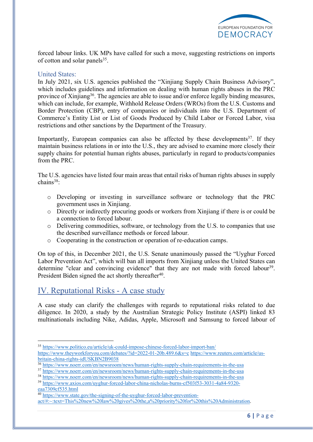

forced labour links. UK MPs have called for such a move, suggesting restrictions on imports of cotton and solar panels<sup>35</sup>.

#### United States:

In July 2021, six U.S. agencies published the "Xinjiang Supply Chain Business Advisory", which includes guidelines and information on dealing with human rights abuses in the PRC province of Xinjiang<sup>36</sup>. The agencies are able to issue and/or enforce legally binding measures, which can include, for example, Withhold Release Orders (WROs) from the U.S. Customs and Border Protection (CBP), entry of companies or individuals into the U.S. Department of Commerce's Entity List or List of Goods Produced by Child Labor or Forced Labor, visa restrictions and other sanctions by the Department of the Treasury.

Importantly, European companies can also be affected by these developments<sup>37</sup>. If they maintain business relations in or into the U.S., they are advised to examine more closely their supply chains for potential human rights abuses, particularly in regard to products/companies from the PRC.

The U.S. agencies have listed four main areas that entail risks of human rights abuses in supply chains<sup>38</sup>:

- o Developing or investing in surveillance software or technology that the PRC government uses in Xinjiang.
- o Directly or indirectly procuring goods or workers from Xinjiang if there is or could be a connection to forced labour.
- o Delivering commodities, software, or technology from the U.S. to companies that use the described surveillance methods or forced labour.
- o Cooperating in the construction or operation of re-education camps.

On top of this, in December 2021, the U.S. Senate unanimously passed the "Uyghur Forced Labor Prevention Act", which will ban all imports from Xinjiang unless the United States can determine "clear and convincing evidence" that they are not made with forced labour<sup>39</sup>. President Biden signed the act shortly thereafter<sup>40</sup>.

## IV. Reputational Risks - A case study

A case study can clarify the challenges with regards to reputational risks related to due diligence. In 2020, a study by the Australian Strategic Policy Institute (ASPI) linked 83 multinationals including Nike, Adidas, Apple, Microsoft and Samsung to forced labour of

<sup>35</sup> https://www.politico.eu/article/uk-could-impose-chinese-forced-labor-import-ban/

https://www.theyworkforyou.com/debates/?id=2022-01-20b.489.6&s=c https://www.reuters.com/article/usbritain-china-rights-idUSKBN2B9038

<sup>36</sup> https://www.noerr.com/en/newsroom/news/human-rights-supply-chain-requirements-in-the-usa

<sup>&</sup>lt;sup>37</sup> https://www.noerr.com/en/newsroom/news/human-rights-supply-chain-requirements-in-the-usa

<sup>38</sup> https://www.noerr.com/en/newsroom/news/human-rights-supply-chain-requirements-in-the-usa

<sup>39</sup> https://www.axios.com/uyghur-forced-labor-china-nicholas-burns-cf503f53-3031-4a84-9320 eaa7309cf535.html

<sup>40</sup> https://www.state.gov/the-signing-of-the-uyghur-forced-labor-preventionact/#:~:text=This%20new%20law%20gives%20the,a%20priority%20for%20this%20Administration.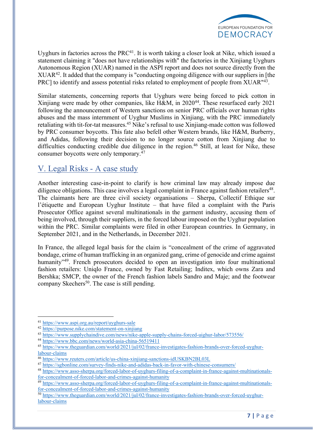

Uyghurs in factories across the  $PRC<sup>41</sup>$ . It is worth taking a closer look at Nike, which issued a statement claiming it "does not have relationships with" the factories in the Xinjiang Uyghurs Autonomous Region (XUAR) named in the ASPI report and does not source directly from the XUAR42. It added that the company is "conducting ongoing diligence with our suppliers in [the PRC] to identify and assess potential risks related to employment of people from XUAR<sup>"43</sup>.

Similar statements, concerning reports that Uyghurs were being forced to pick cotton in Xinjiang were made by other companies, like H&M, in 2020<sup>44</sup>. These resurfaced early 2021 following the announcement of Western sanctions on senior PRC officials over human rights abuses and the mass internment of Uyghur Muslims in Xinjiang, with the PRC immediately retaliating with tit-for-tat measures.45 Nike's refusal to use Xinjiang-made cotton was followed by PRC consumer boycotts. This fate also befell other Western brands, like H&M, Burberry, and Adidas, following their decision to no longer source cotton from Xinjiang due to difficulties conducting credible due diligence in the region.<sup>46</sup> Still, at least for Nike, these consumer boycotts were only temporary.47

### V. Legal Risks - A case study

Another interesting case-in-point to clarify is how criminal law may already impose due diligence obligations. This case involves a legal complaint in France against fashion retailers<sup>48</sup>. The claimants here are three civil society organisations – Sherpa, Collectif Ethique sur l'étiquette and European Uyghur Institute – that have filed a complaint with the Paris Prosecutor Office against several multinationals in the garment industry, accusing them of being involved, through their suppliers, in the forced labour imposed on the Uyghur population within the PRC. Similar complaints were filed in other European countries. In Germany, in September 2021, and in the Netherlands, in December 2021.

In France, the alleged legal basis for the claim is "concealment of the crime of aggravated bondage, crime of human trafficking in an organized gang, crime of genocide and crime against humanity<sup>"49</sup>. French prosecutors decided to open an investigation into four multinational fashion retailers: Uniqlo France, owned by Fast Retailing; Inditex, which owns Zara and Bershka; SMCP, the owner of the French fashion labels Sandro and Maje; and the footwear company Skechers<sup>50</sup>. The case is still pending.

<sup>41</sup> https://www.aspi.org.au/report/uyghurs-sale

<sup>42</sup> https://purpose.nike.com/statement-on-xinjiang

<sup>43</sup> https://www.supplychaindive.com/news/nike-apple-supply-chains-forced-uighur-labor/573556/

<sup>44</sup> https://www.bbc.com/news/world-asia-china-56519411

<sup>45</sup> https://www.theguardian.com/world/2021/jul/02/france-investigates-fashion-brands-over-forced-uyghurlabour-claims

<sup>46</sup> https://www.reuters.com/article/us-china-xinjiang-sanctions-idUSKBN2BL03L

<sup>47</sup> https://sgbonline.com/survey-finds-nike-and-adidas-back-in-favor-with-chinese-consumers/

<sup>48</sup> https://www.asso-sherpa.org/forced-labor-of-uyghurs-filing-of-a-complaint-in-france-against-multinationalsfor-concealment-of-forced-labor-and-crimes-against-humanity

<sup>&</sup>lt;sup>49</sup> https://www.asso-sherpa.org/forced-labor-of-uyghurs-filing-of-a-complaint-in-france-against-multinationalsfor-concealment-of-forced-labor-and-crimes-against-humanity

<sup>50</sup> https://www.theguardian.com/world/2021/jul/02/france-investigates-fashion-brands-over-forced-uyghurlabour-claims